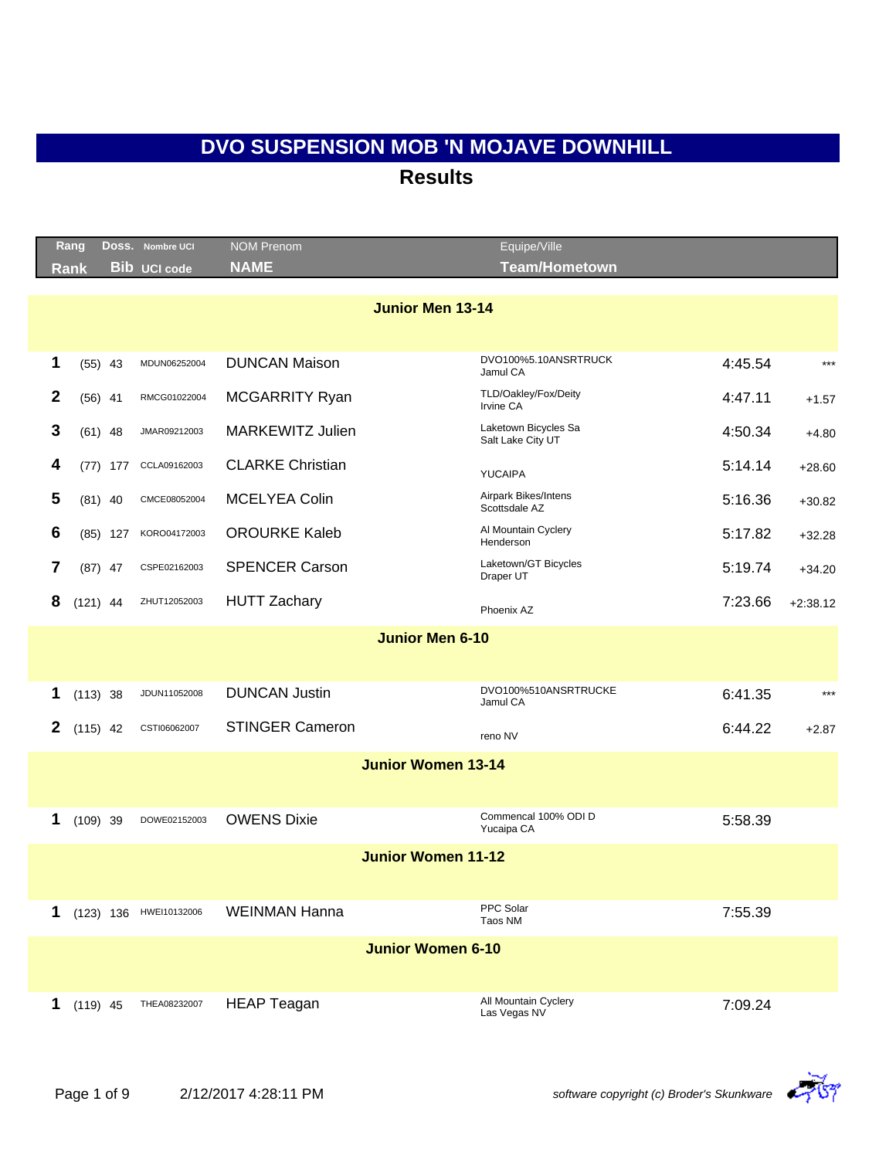|              | Rang<br>Rank |            | Doss. Nombre UCI<br><b>Bib UCI code</b> | <b>NOM Prenom</b><br><b>NAME</b> | Equipe/Ville<br><b>Team/Hometown</b>      |         |            |
|--------------|--------------|------------|-----------------------------------------|----------------------------------|-------------------------------------------|---------|------------|
|              |              |            |                                         |                                  |                                           |         |            |
|              |              |            |                                         | <b>Junior Men 13-14</b>          |                                           |         |            |
|              |              |            |                                         |                                  | DVO100%5.10ANSRTRUCK                      |         |            |
| 1            |              | $(55)$ 43  | MDUN06252004                            | <b>DUNCAN Maison</b>             | Jamul CA                                  | 4:45.54 | $***$      |
| $\mathbf{2}$ |              | $(56)$ 41  | RMCG01022004                            | <b>MCGARRITY Ryan</b>            | TLD/Oakley/Fox/Deity<br>Irvine CA         | 4:47.11 | $+1.57$    |
| 3            |              | $(61)$ 48  | JMAR09212003                            | <b>MARKEWITZ Julien</b>          | Laketown Bicycles Sa<br>Salt Lake City UT | 4:50.34 | $+4.80$    |
| 4            |              | $(77)$ 177 | CCLA09162003                            | <b>CLARKE Christian</b>          | <b>YUCAIPA</b>                            | 5:14.14 | $+28.60$   |
| 5            |              | $(81)$ 40  | CMCE08052004                            | <b>MCELYEA Colin</b>             | Airpark Bikes/Intens<br>Scottsdale AZ     | 5:16.36 | $+30.82$   |
| 6            |              | $(85)$ 127 | KORO04172003                            | <b>OROURKE Kaleb</b>             | Al Mountain Cyclery<br>Henderson          | 5:17.82 | $+32.28$   |
| 7            |              | $(87)$ 47  | CSPE02162003                            | <b>SPENCER Carson</b>            | Laketown/GT Bicycles<br>Draper UT         | 5:19.74 | $+34.20$   |
| 8            | $(121)$ 44   |            | ZHUT12052003                            | <b>HUTT Zachary</b>              | Phoenix AZ                                | 7:23.66 | $+2:38.12$ |
|              |              |            |                                         | <b>Junior Men 6-10</b>           |                                           |         |            |
|              |              |            |                                         |                                  |                                           |         |            |
| 1            | $(113)$ 38   |            | JDUN11052008                            | <b>DUNCAN Justin</b>             | DVO100%510ANSRTRUCKE<br>Jamul CA          | 6:41.35 | $***$      |
| 2            | $(115)$ 42   |            | CSTI06062007                            | <b>STINGER Cameron</b>           | reno NV                                   | 6:44.22 | $+2.87$    |
|              |              |            |                                         | <b>Junior Women 13-14</b>        |                                           |         |            |
|              |              |            |                                         |                                  |                                           |         |            |
| 1            | $(109)$ 39   |            | DOWE02152003                            | <b>OWENS Dixie</b>               | Commencal 100% ODI D<br>Yucaipa CA        | 5:58.39 |            |
|              |              |            |                                         | <b>Junior Women 11-12</b>        |                                           |         |            |
|              |              |            |                                         |                                  |                                           |         |            |
| 1            |              |            | (123) 136 HWEI10132006                  | <b>WEINMAN Hanna</b>             | PPC Solar<br>Taos NM                      | 7:55.39 |            |
|              |              |            |                                         | <b>Junior Women 6-10</b>         |                                           |         |            |
|              |              |            |                                         |                                  |                                           |         |            |
| 1            | $(119)$ 45   |            | THEA08232007                            | <b>HEAP Teagan</b>               | All Mountain Cyclery<br>Las Vegas NV      | 7:09.24 |            |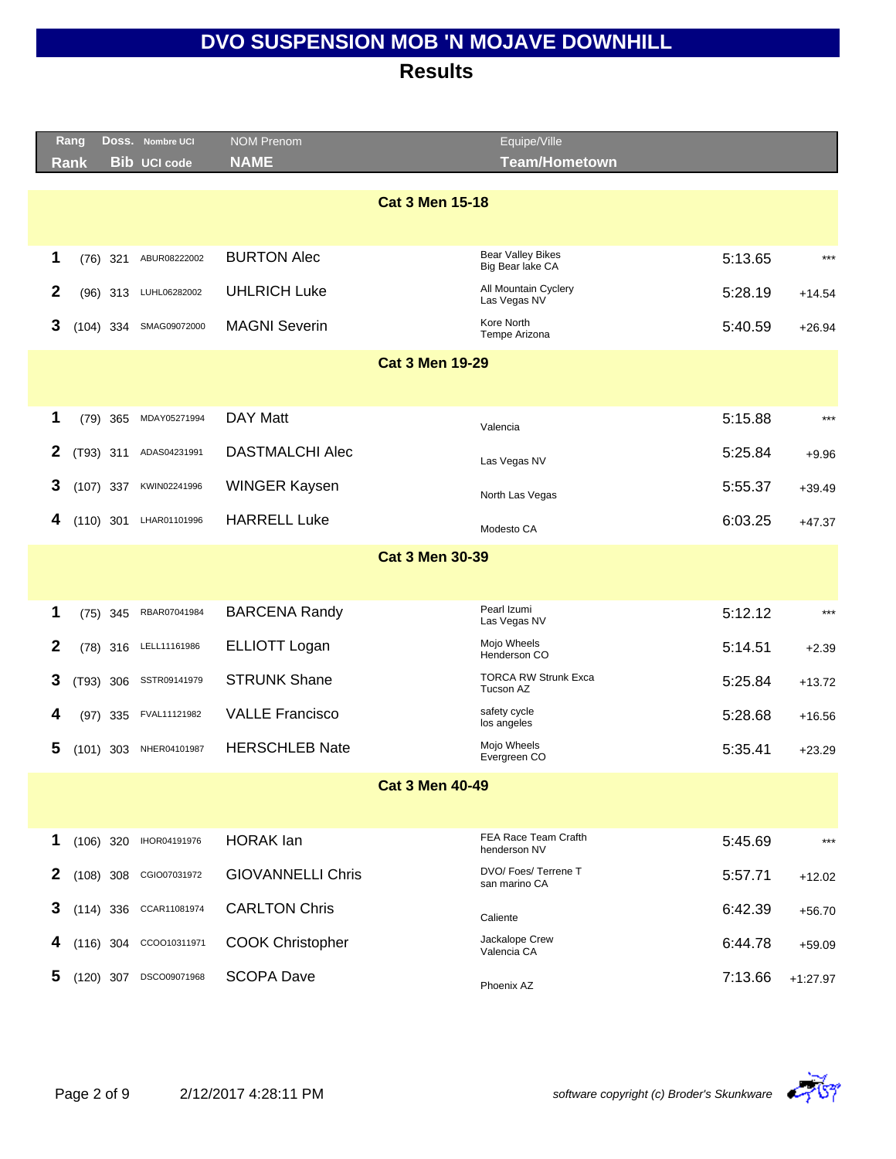|              | Rang        | DOSS. Nombre UCI    | <b>NOM Prenom</b>        | Equipe/Ville                                 |         |            |  |  |  |  |  |
|--------------|-------------|---------------------|--------------------------|----------------------------------------------|---------|------------|--|--|--|--|--|
|              | <b>Rank</b> | <b>Bib UCI code</b> | <b>NAME</b>              | <b>Team/Hometown</b>                         |         |            |  |  |  |  |  |
|              |             |                     | <b>Cat 3 Men 15-18</b>   |                                              |         |            |  |  |  |  |  |
|              |             |                     |                          |                                              |         |            |  |  |  |  |  |
| 1            | $(76)$ 321  | ABUR08222002        | <b>BURTON Alec</b>       | <b>Bear Valley Bikes</b><br>Big Bear lake CA | 5:13.65 | $***$      |  |  |  |  |  |
| $\mathbf{2}$ | $(96)$ 313  | LUHL06282002        | <b>UHLRICH Luke</b>      | All Mountain Cyclery<br>Las Vegas NV         | 5:28.19 | $+14.54$   |  |  |  |  |  |
| 3            | $(104)$ 334 | SMAG09072000        | <b>MAGNI Severin</b>     | Kore North<br>Tempe Arizona                  | 5:40.59 | $+26.94$   |  |  |  |  |  |
|              |             |                     | <b>Cat 3 Men 19-29</b>   |                                              |         |            |  |  |  |  |  |
|              |             |                     |                          |                                              |         |            |  |  |  |  |  |
| 1            | $(79)$ 365  | MDAY05271994        | DAY Matt                 | Valencia                                     | 5:15.88 | $***$      |  |  |  |  |  |
| 2            | (T93) 311   | ADAS04231991        | <b>DASTMALCHI Alec</b>   | Las Vegas NV                                 | 5:25.84 | $+9.96$    |  |  |  |  |  |
| 3            | $(107)$ 337 | KWIN02241996        | <b>WINGER Kaysen</b>     | North Las Vegas                              | 5:55.37 | $+39.49$   |  |  |  |  |  |
| 4            | $(110)$ 301 | LHAR01101996        | <b>HARRELL Luke</b>      | Modesto CA                                   | 6:03.25 | $+47.37$   |  |  |  |  |  |
|              |             |                     | <b>Cat 3 Men 30-39</b>   |                                              |         |            |  |  |  |  |  |
|              |             |                     |                          |                                              |         |            |  |  |  |  |  |
| 1            | $(75)$ 345  | RBAR07041984        | <b>BARCENA Randy</b>     | Pearl Izumi<br>Las Vegas NV                  | 5:12.12 | $***$      |  |  |  |  |  |
| $\mathbf{2}$ | $(78)$ 316  | LELL11161986        | <b>ELLIOTT Logan</b>     | Mojo Wheels<br>Henderson CO                  | 5:14.51 | $+2.39$    |  |  |  |  |  |
| 3            | (T93) 306   | SSTR09141979        | <b>STRUNK Shane</b>      | <b>TORCA RW Strunk Exca</b><br>Tucson AZ     | 5:25.84 | $+13.72$   |  |  |  |  |  |
| 4            | (97) 335    | FVAL11121982        | <b>VALLE Francisco</b>   | safety cycle<br>los angeles                  | 5:28.68 | $+16.56$   |  |  |  |  |  |
| 5            | $(101)$ 303 | NHER04101987        | <b>HERSCHLEB Nate</b>    | Mojo Wheels<br>Evergreen CO                  | 5:35.41 | $+23.29$   |  |  |  |  |  |
|              |             |                     | <b>Cat 3 Men 40-49</b>   |                                              |         |            |  |  |  |  |  |
|              |             |                     |                          |                                              |         |            |  |  |  |  |  |
| 1            | $(106)$ 320 | IHOR04191976        | <b>HORAK</b> lan         | FEA Race Team Crafth<br>henderson NV         | 5:45.69 | $***$      |  |  |  |  |  |
| 2            | $(108)$ 308 | CGIO07031972        | <b>GIOVANNELLI Chris</b> | DVO/ Foes/ Terrene T<br>san marino CA        | 5:57.71 | $+12.02$   |  |  |  |  |  |
| 3            | $(114)$ 336 | CCAR11081974        | <b>CARLTON Chris</b>     | Caliente                                     | 6:42.39 | $+56.70$   |  |  |  |  |  |
| 4            | $(116)$ 304 | CCOO10311971        | <b>COOK Christopher</b>  | Jackalope Crew<br>Valencia CA                | 6:44.78 | $+59.09$   |  |  |  |  |  |
| 5            | $(120)$ 307 | DSCO09071968        | <b>SCOPA Dave</b>        | Phoenix AZ                                   | 7:13.66 | $+1:27.97$ |  |  |  |  |  |

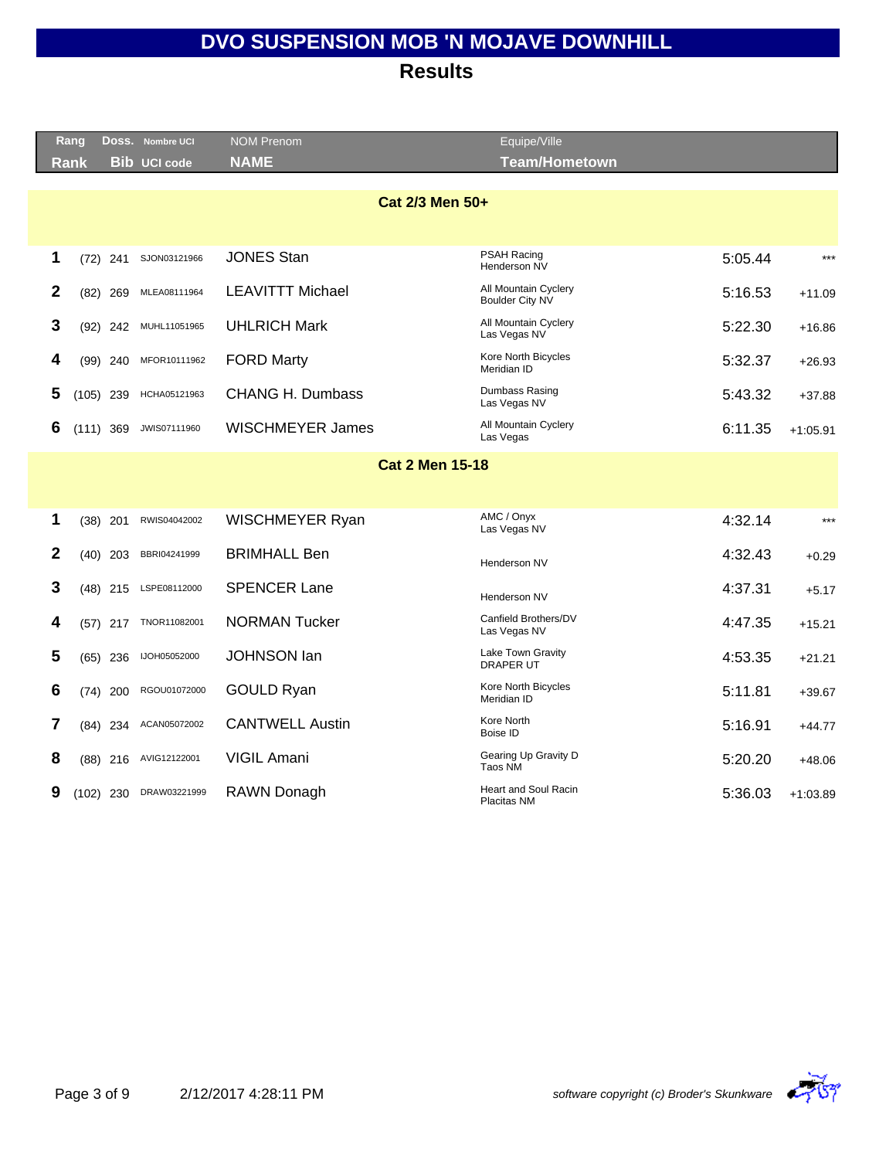|      | Rang        |            | Doss. Nombre UCI    | <b>NOM Prenom</b>       | Equipe/Ville                                   |         |            |
|------|-------------|------------|---------------------|-------------------------|------------------------------------------------|---------|------------|
| Rank |             |            | <b>Bib UCI code</b> | <b>NAME</b>             | Team/Hometown                                  |         |            |
|      |             |            |                     |                         |                                                |         |            |
|      |             |            |                     | Cat 2/3 Men 50+         |                                                |         |            |
|      |             |            |                     |                         |                                                |         |            |
| 1    |             | $(72)$ 241 | SJON03121966        | <b>JONES Stan</b>       | <b>PSAH Racing</b><br>Henderson NV             | 5:05.44 | $***$      |
| 2    |             | $(82)$ 269 | MLEA08111964        | <b>LEAVITTT Michael</b> | All Mountain Cyclery<br><b>Boulder City NV</b> | 5:16.53 | $+11.09$   |
| 3    |             | $(92)$ 242 | MUHL11051965        | <b>UHLRICH Mark</b>     | All Mountain Cyclery<br>Las Vegas NV           | 5:22.30 | $+16.86$   |
| 4    |             | $(99)$ 240 | MFOR10111962        | <b>FORD Marty</b>       | Kore North Bicycles<br>Meridian ID             | 5:32.37 | $+26.93$   |
| 5    | $(105)$ 239 |            | HCHA05121963        | <b>CHANG H. Dumbass</b> | Dumbass Rasing<br>Las Vegas NV                 | 5:43.32 | $+37.88$   |
| 6    | $(111)$ 369 |            | JWIS07111960        | <b>WISCHMEYER James</b> | All Mountain Cyclery<br>Las Vegas              | 6:11.35 | $+1:05.91$ |
|      |             |            |                     | <b>Cat 2 Men 15-18</b>  |                                                |         |            |
|      |             |            |                     |                         |                                                |         |            |
|      |             |            |                     |                         | AMC / Onyx                                     |         | $***$      |
| 1    |             | $(38)$ 201 | RWIS04042002        | WISCHMEYER Ryan         | Las Vegas NV                                   | 4:32.14 |            |
| 2    |             | $(40)$ 203 | BBRI04241999        | <b>BRIMHALL Ben</b>     | Henderson NV                                   | 4:32.43 | $+0.29$    |
| 3    |             | $(48)$ 215 | LSPE08112000        | <b>SPENCER Lane</b>     | Henderson NV                                   | 4:37.31 | $+5.17$    |
| 4    |             | $(57)$ 217 | TNOR11082001        | <b>NORMAN Tucker</b>    | Canfield Brothers/DV<br>Las Vegas NV           | 4:47.35 | $+15.21$   |
| 5    |             | $(65)$ 236 | IJOH05052000        | <b>JOHNSON lan</b>      | Lake Town Gravity<br><b>DRAPER UT</b>          | 4:53.35 | $+21.21$   |
| 6    |             | $(74)$ 200 | RGOU01072000        | <b>GOULD Ryan</b>       | Kore North Bicycles<br>Meridian ID             | 5:11.81 | $+39.67$   |
| 7    |             | (84) 234   | ACAN05072002        | <b>CANTWELL Austin</b>  | Kore North<br>Boise ID                         | 5:16.91 | $+44.77$   |
| 8    |             | $(88)$ 216 | AVIG12122001        | <b>VIGIL Amani</b>      | Gearing Up Gravity D<br>Taos NM                | 5:20.20 | $+48.06$   |
| 9    | $(102)$ 230 |            | DRAW03221999        | RAWN Donagh             | <b>Heart and Soul Racin</b><br>Placitas NM     | 5:36.03 | $+1:03.89$ |
|      |             |            |                     |                         |                                                |         |            |

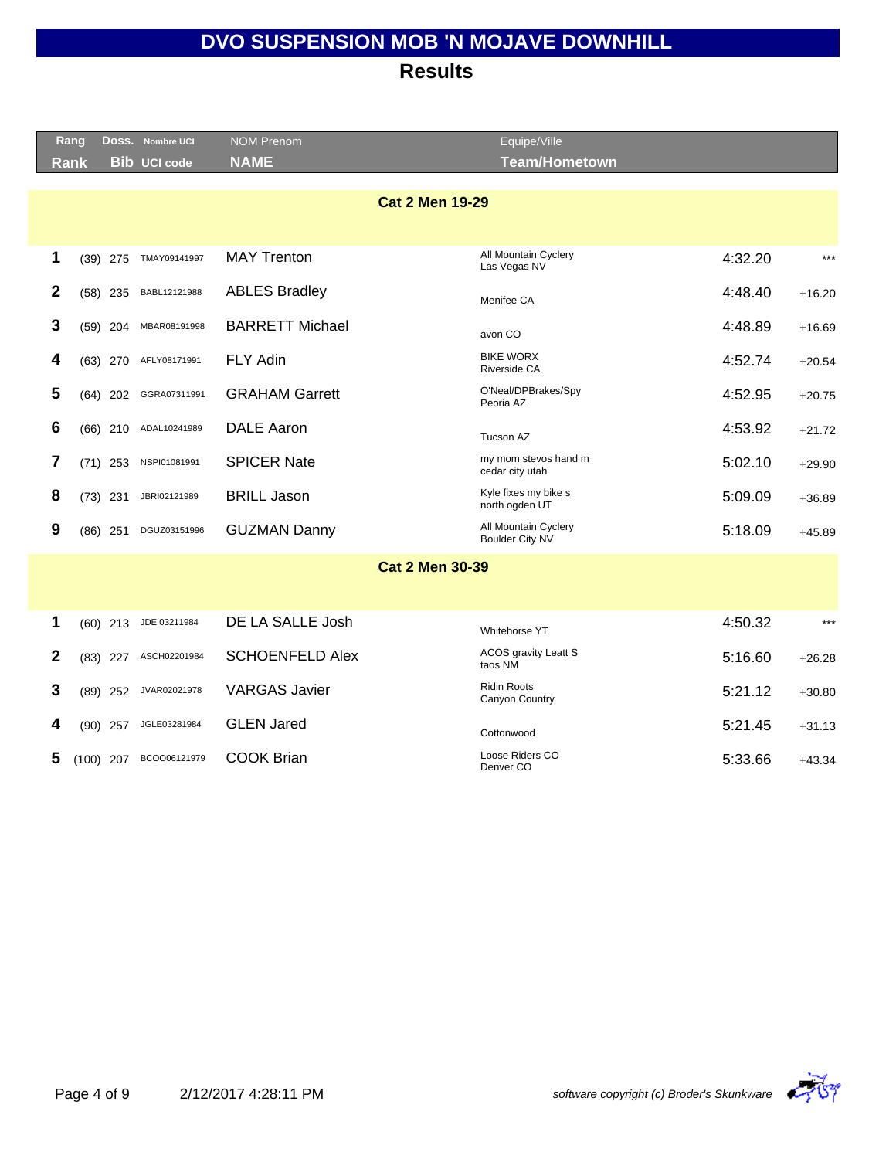|              | Rang        |             | DOSS. Nombre UCI    | <b>NOM Prenom</b>      | Equipe/Ville                            |         |          |
|--------------|-------------|-------------|---------------------|------------------------|-----------------------------------------|---------|----------|
|              | <b>Rank</b> |             | <b>Bib UCI code</b> | <b>NAME</b>            | <b>Team/Hometown</b>                    |         |          |
|              |             |             |                     |                        |                                         |         |          |
|              |             |             |                     | <b>Cat 2 Men 19-29</b> |                                         |         |          |
|              |             |             |                     |                        |                                         |         |          |
| 1            |             | $(39)$ 275  | TMAY09141997        | <b>MAY Trenton</b>     | All Mountain Cyclery<br>Las Vegas NV    | 4:32.20 | $***$    |
| $\mathbf{2}$ |             | $(58)$ 235  | BABL12121988        | <b>ABLES Bradley</b>   | Menifee CA                              | 4:48.40 | $+16.20$ |
| 3            |             | $(59)$ 204  | MBAR08191998        | <b>BARRETT Michael</b> | avon CO                                 | 4:48.89 | $+16.69$ |
| 4            |             | $(63)$ 270  | AFLY08171991        | <b>FLY Adin</b>        | <b>BIKE WORX</b><br>Riverside CA        | 4:52.74 | $+20.54$ |
| 5            |             | $(64)$ 202  | GGRA07311991        | <b>GRAHAM Garrett</b>  | O'Neal/DPBrakes/Spy<br>Peoria AZ        | 4:52.95 | $+20.75$ |
| 6            |             | $(66)$ 210  | ADAL10241989        | <b>DALE Aaron</b>      | Tucson AZ                               | 4:53.92 | $+21.72$ |
| 7            |             | $(71)$ 253  | NSPI01081991        | <b>SPICER Nate</b>     | my mom stevos hand m<br>cedar city utah | 5:02.10 | $+29.90$ |
| 8            |             | $(73)$ 231  | JBRI02121989        | <b>BRILL Jason</b>     | Kyle fixes my bike s<br>north ogden UT  | 5:09.09 | $+36.89$ |
| 9            |             | $(86)$ 251  | DGUZ03151996        | <b>GUZMAN Danny</b>    | All Mountain Cyclery<br>Boulder City NV | 5:18.09 | $+45.89$ |
|              |             |             |                     | <b>Cat 2 Men 30-39</b> |                                         |         |          |
|              |             |             |                     |                        |                                         |         |          |
| 1            |             | $(60)$ 213  | JDE 03211984        | DE LA SALLE Josh       | Whitehorse YT                           | 4:50.32 | $***$    |
| $\mathbf{2}$ |             | $(83)$ 227  | ASCH02201984        | <b>SCHOENFELD Alex</b> | <b>ACOS gravity Leatt S</b><br>taos NM  | 5:16.60 | $+26.28$ |
| 3            |             | $(89)$ 252  | JVAR02021978        | <b>VARGAS Javier</b>   | <b>Ridin Roots</b><br>Canyon Country    | 5:21.12 | $+30.80$ |
| 4            |             | $(90)$ 257  | JGLE03281984        | <b>GLEN Jared</b>      | Cottonwood                              | 5:21.45 | $+31.13$ |
| 5            |             | $(100)$ 207 | BCOO06121979        | <b>COOK Brian</b>      | Loose Riders CO<br>Denver CO            | 5:33.66 | $+43.34$ |
|              |             |             |                     |                        |                                         |         |          |

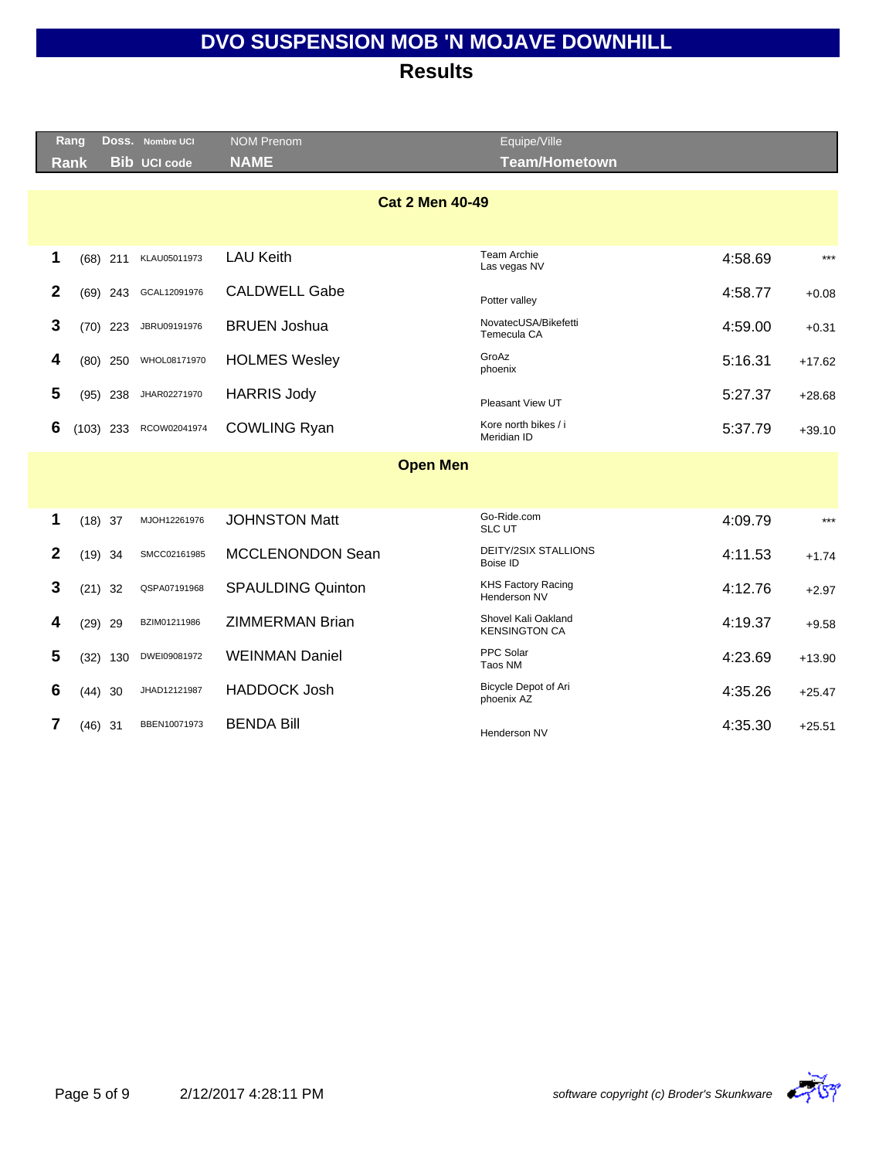|              | Rang        |            | DOSS. Nombre UCI    | <b>NOM Prenom</b>        | Equipe/Ville                                |         |          |
|--------------|-------------|------------|---------------------|--------------------------|---------------------------------------------|---------|----------|
|              | <b>Rank</b> |            | <b>Bib UCI code</b> | <b>NAME</b>              | <b>Team/Hometown</b>                        |         |          |
|              |             |            |                     | <b>Cat 2 Men 40-49</b>   |                                             |         |          |
| 1            |             | $(68)$ 211 | KLAU05011973        | <b>LAU Keith</b>         | Team Archie<br>Las vegas NV                 | 4:58.69 | $***$    |
| $\mathbf{2}$ |             | $(69)$ 243 | GCAL12091976        | <b>CALDWELL Gabe</b>     | Potter valley                               | 4:58.77 | $+0.08$  |
| 3            |             | $(70)$ 223 | JBRU09191976        | <b>BRUEN Joshua</b>      | NovatecUSA/Bikefetti<br>Temecula CA         | 4:59.00 | $+0.31$  |
| 4            |             | $(80)$ 250 | WHOL08171970        | <b>HOLMES Wesley</b>     | GroAz<br>phoenix                            | 5:16.31 | $+17.62$ |
| 5            |             | $(95)$ 238 | JHAR02271970        | <b>HARRIS Jody</b>       | Pleasant View UT                            | 5:27.37 | $+28.68$ |
| 6            | $(103)$ 233 |            | RCOW02041974        | <b>COWLING Ryan</b>      | Kore north bikes / i<br>Meridian ID         | 5:37.79 | $+39.10$ |
|              |             |            |                     | <b>Open Men</b>          |                                             |         |          |
| 1            | $(18)$ 37   |            | MJOH12261976        | <b>JOHNSTON Matt</b>     | Go-Ride.com<br><b>SLC UT</b>                | 4:09.79 | $***$    |
| $\mathbf{2}$ | $(19)$ 34   |            | SMCC02161985        | MCCLENONDON Sean         | <b>DEITY/2SIX STALLIONS</b><br>Boise ID     | 4:11.53 | $+1.74$  |
| 3            | $(21)$ 32   |            | QSPA07191968        | <b>SPAULDING Quinton</b> | <b>KHS Factory Racing</b><br>Henderson NV   | 4:12.76 | $+2.97$  |
| 4            | $(29)$ 29   |            | BZIM01211986        | <b>ZIMMERMAN Brian</b>   | Shovel Kali Oakland<br><b>KENSINGTON CA</b> | 4:19.37 | $+9.58$  |
| 5            |             | $(32)$ 130 | DWEI09081972        | <b>WEINMAN Daniel</b>    | PPC Solar<br>Taos NM                        | 4:23.69 | $+13.90$ |
|              |             |            |                     |                          | Bicycle Depot of Ari                        | 4:35.26 | $+25.47$ |
| 6            | (44)        | 30         | JHAD12121987        | <b>HADDOCK Josh</b>      | phoenix AZ                                  |         |          |

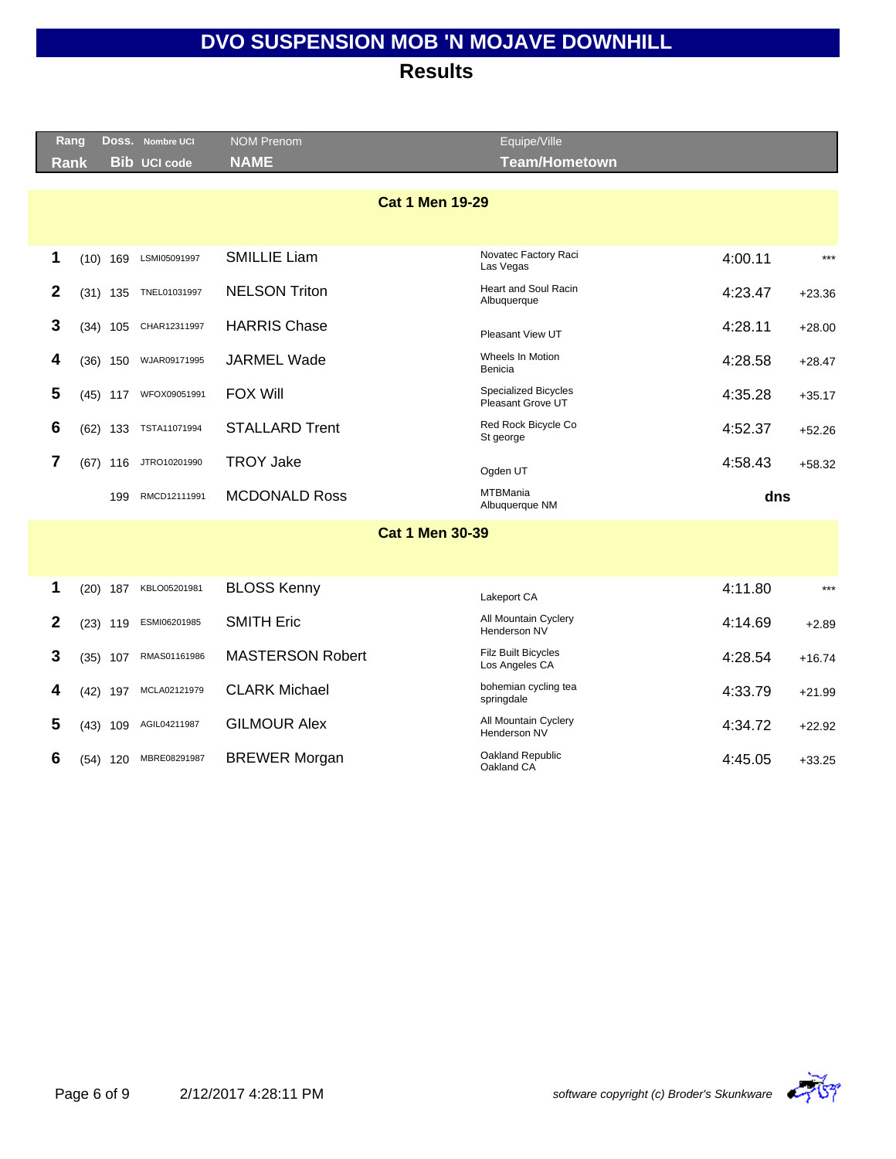| Rang             |            | DOSS. Nombre UCI    | <b>NOM Prenom</b>       | Equipe/Ville                                     |         |          |
|------------------|------------|---------------------|-------------------------|--------------------------------------------------|---------|----------|
| <b>Rank</b>      |            | <b>Bib UCI code</b> | <b>NAME</b>             | <b>Team/Hometown</b>                             |         |          |
|                  |            |                     | <b>Cat 1 Men 19-29</b>  |                                                  |         |          |
| 1                | $(10)$ 169 | LSMI05091997        | <b>SMILLIE Liam</b>     | Novatec Factory Raci<br>Las Vegas                | 4:00.11 | $***$    |
| $\boldsymbol{2}$ | $(31)$ 135 | TNEL01031997        | <b>NELSON Triton</b>    | Heart and Soul Racin<br>Albuquerque              | 4:23.47 | $+23.36$ |
| 3                | $(34)$ 105 | CHAR12311997        | <b>HARRIS Chase</b>     | Pleasant View UT                                 | 4:28.11 | $+28.00$ |
| 4                | $(36)$ 150 | WJAR09171995        | <b>JARMEL Wade</b>      | Wheels In Motion<br>Benicia                      | 4:28.58 | $+28.47$ |
| 5                | $(45)$ 117 | WFOX09051991        | <b>FOX Will</b>         | <b>Specialized Bicycles</b><br>Pleasant Grove UT | 4:35.28 | $+35.17$ |
| 6                | $(62)$ 133 | TSTA11071994        | <b>STALLARD Trent</b>   | Red Rock Bicycle Co<br>St george                 | 4:52.37 | $+52.26$ |
| 7                | $(67)$ 116 | JTRO10201990        | <b>TROY Jake</b>        | Ogden UT                                         | 4:58.43 | $+58.32$ |
|                  | 199        | RMCD12111991        | <b>MCDONALD Ross</b>    | <b>MTBMania</b><br>Albuquerque NM                | dns     |          |
|                  |            |                     | <b>Cat 1 Men 30-39</b>  |                                                  |         |          |
| 1                | $(20)$ 187 | KBLO05201981        | <b>BLOSS Kenny</b>      | Lakeport CA                                      | 4:11.80 | $***$    |
| 2                | $(23)$ 119 | ESMI06201985        | <b>SMITH Eric</b>       | All Mountain Cyclery<br>Henderson NV             | 4:14.69 | $+2.89$  |
| 3                | $(35)$ 107 | RMAS01161986        | <b>MASTERSON Robert</b> | <b>Filz Built Bicycles</b><br>Los Angeles CA     | 4:28.54 | $+16.74$ |
| 4                | $(42)$ 197 | MCLA02121979        | <b>CLARK Michael</b>    | bohemian cycling tea<br>springdale               | 4:33.79 | $+21.99$ |
| 5                | $(43)$ 109 | AGIL04211987        | <b>GILMOUR Alex</b>     | All Mountain Cyclery<br>Henderson NV             | 4:34.72 | $+22.92$ |
| 6                | $(54)$ 120 | MBRE08291987        | <b>BREWER Morgan</b>    | Oakland Republic<br>Oakland CA                   | 4:45.05 | $+33.25$ |
|                  |            |                     |                         |                                                  |         |          |

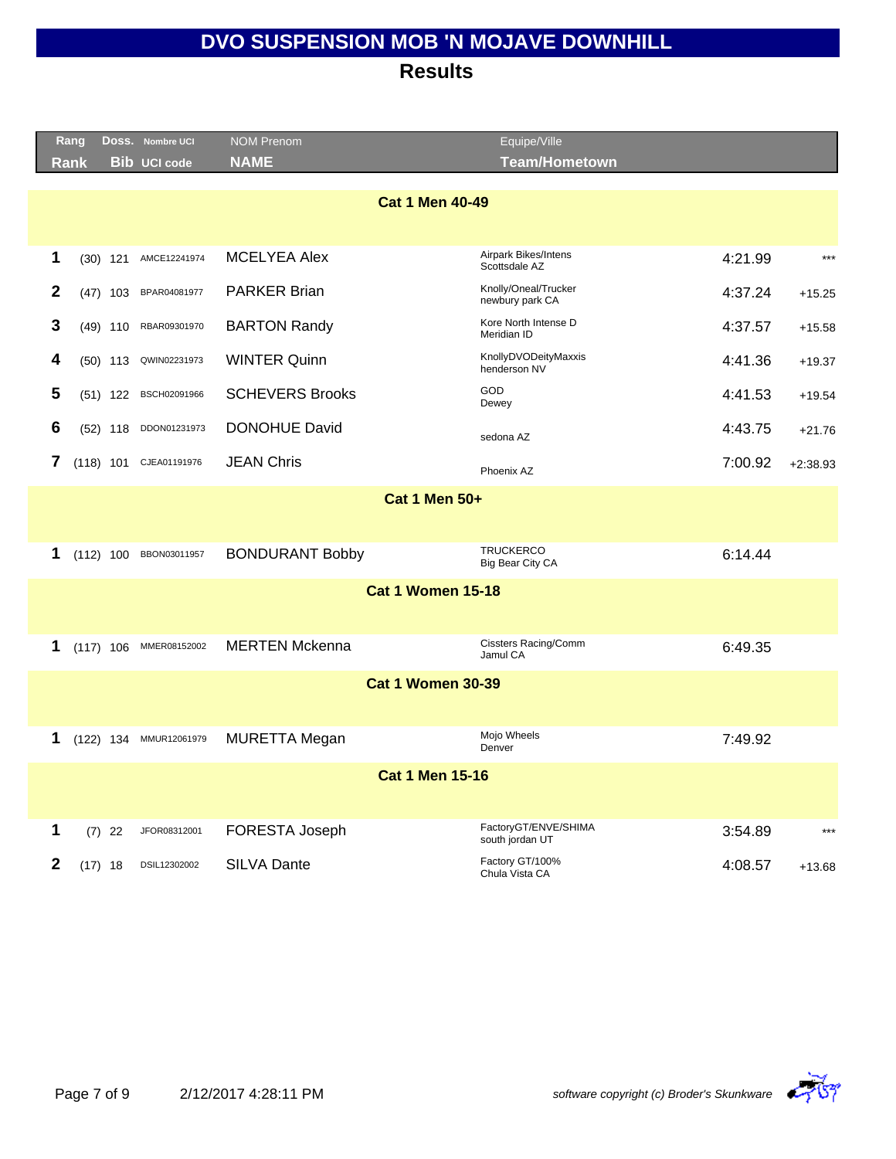|                        | Rang |            | Doss. Nombre UCI       | <b>NOM Prenom</b>        | Equipe/Ville                            |         |            |  |  |  |  |
|------------------------|------|------------|------------------------|--------------------------|-----------------------------------------|---------|------------|--|--|--|--|
|                        | Rank |            | <b>Bib UCI code</b>    | <b>NAME</b>              | <b>Team/Hometown</b>                    |         |            |  |  |  |  |
| <b>Cat 1 Men 40-49</b> |      |            |                        |                          |                                         |         |            |  |  |  |  |
| 1                      |      | $(30)$ 121 | AMCE12241974           | <b>MCELYEA Alex</b>      | Airpark Bikes/Intens<br>Scottsdale AZ   | 4:21.99 | $***$      |  |  |  |  |
| $\mathbf{2}$           |      | $(47)$ 103 | BPAR04081977           | <b>PARKER Brian</b>      | Knolly/Oneal/Trucker<br>newbury park CA | 4:37.24 | $+15.25$   |  |  |  |  |
| 3                      |      |            | (49) 110 RBAR09301970  | <b>BARTON Randy</b>      | Kore North Intense D<br>Meridian ID     | 4:37.57 | $+15.58$   |  |  |  |  |
| 4                      |      |            | (50) 113 QWIN02231973  | <b>WINTER Quinn</b>      | KnollyDVODeityMaxxis<br>henderson NV    | 4:41.36 | $+19.37$   |  |  |  |  |
| 5                      |      |            | (51) 122 BSCH02091966  | <b>SCHEVERS Brooks</b>   | <b>GOD</b><br>Dewey                     | 4:41.53 | $+19.54$   |  |  |  |  |
| 6                      |      |            | (52) 118 DDON01231973  | <b>DONOHUE David</b>     | sedona AZ                               | 4:43.75 | $+21.76$   |  |  |  |  |
| 7                      |      |            | (118) 101 CJEA01191976 | <b>JEAN Chris</b>        | Phoenix AZ                              | 7:00.92 | $+2:38.93$ |  |  |  |  |
| <b>Cat 1 Men 50+</b>   |      |            |                        |                          |                                         |         |            |  |  |  |  |
| 1                      |      |            | (112) 100 BBON03011957 | <b>BONDURANT Bobby</b>   | <b>TRUCKERCO</b><br>Big Bear City CA    | 6:14.44 |            |  |  |  |  |
|                        |      |            |                        | <b>Cat 1 Women 15-18</b> |                                         |         |            |  |  |  |  |
| 1                      |      |            | (117) 106 MMER08152002 | <b>MERTEN Mckenna</b>    | <b>Cissters Racing/Comm</b><br>Jamul CA | 6:49.35 |            |  |  |  |  |
|                        |      |            |                        | <b>Cat 1 Women 30-39</b> |                                         |         |            |  |  |  |  |
| 1                      |      |            | (122) 134 MMUR12061979 | <b>MURETTA Megan</b>     | Mojo Wheels<br>Denver                   | 7:49.92 |            |  |  |  |  |
|                        |      |            |                        | <b>Cat 1 Men 15-16</b>   |                                         |         |            |  |  |  |  |
| 1                      |      | $(7)$ 22   | JFOR08312001           | FORESTA Joseph           | FactoryGT/ENVE/SHIMA<br>south jordan UT | 3:54.89 | $***$      |  |  |  |  |
| $\mathbf{2}$           |      | $(17)$ 18  | DSIL12302002           | <b>SILVA Dante</b>       | Factory GT/100%<br>Chula Vista CA       | 4:08.57 | $+13.68$   |  |  |  |  |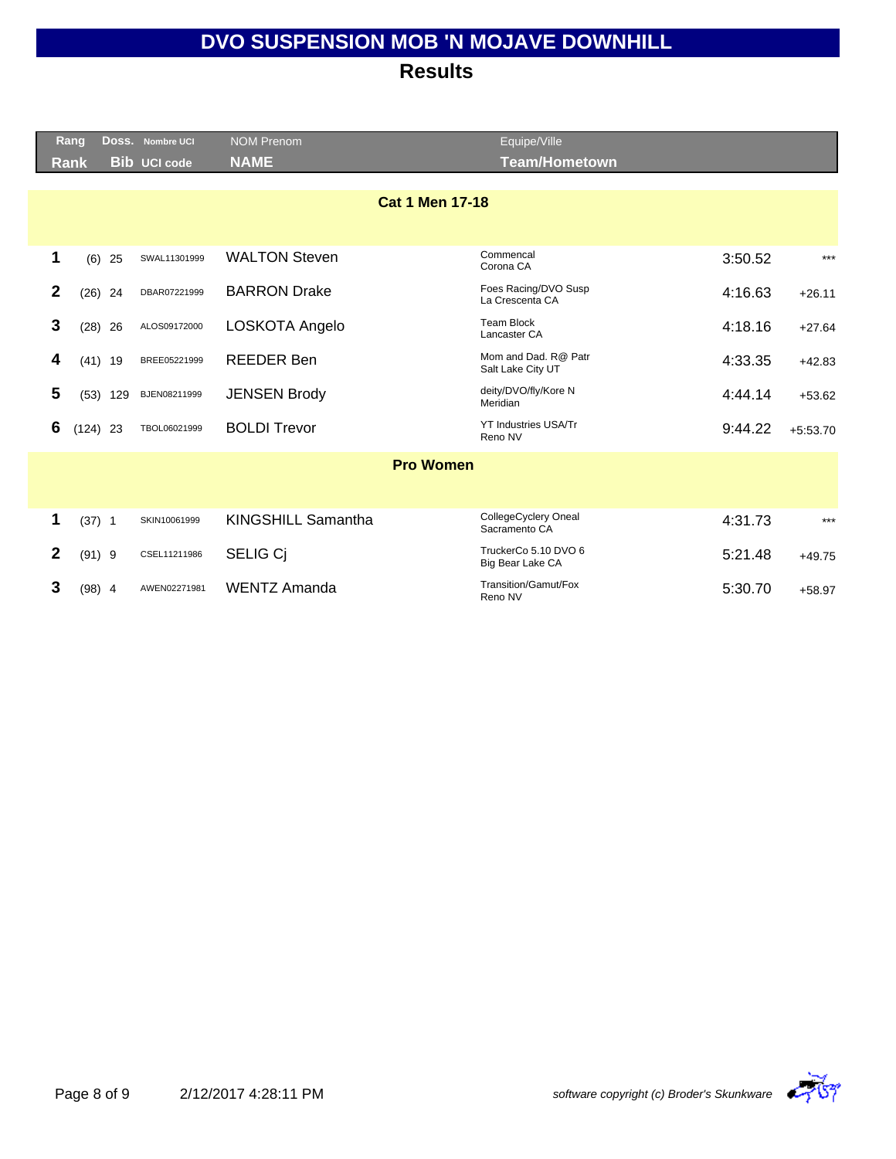|              | <b>Rang</b> |            | Doss. Nombre UCI    | <b>NOM Prenom</b>         | Equipe/Ville                              |         |            |
|--------------|-------------|------------|---------------------|---------------------------|-------------------------------------------|---------|------------|
|              | <b>Rank</b> |            | <b>Bib UCI code</b> | <b>NAME</b>               | <b>Team/Hometown</b>                      |         |            |
|              |             |            |                     | <b>Cat 1 Men 17-18</b>    |                                           |         |            |
| 1            | (6)         | 25         | SWAL11301999        | <b>WALTON Steven</b>      | Commencal<br>Corona CA                    | 3:50.52 | $***$      |
| $\mathbf{2}$ | (26)        | 24         | DBAR07221999        | <b>BARRON Drake</b>       | Foes Racing/DVO Susp<br>La Crescenta CA   | 4:16.63 | $+26.11$   |
| 3            | (28)        | 26         | ALOS09172000        | LOSKOTA Angelo            | <b>Team Block</b><br>Lancaster CA         | 4:18.16 | $+27.64$   |
| 4            |             | $(41)$ 19  | BREE05221999        | <b>REEDER Ben</b>         | Mom and Dad, R@ Patr<br>Salt Lake City UT | 4:33.35 | $+42.83$   |
| 5            |             | $(53)$ 129 | BJEN08211999        | <b>JENSEN Brody</b>       | deity/DVO/fly/Kore N<br>Meridian          | 4:44.14 | $+53.62$   |
| 6            | $(124)$ 23  |            | TBOL06021999        | <b>BOLDI Trevor</b>       | <b>YT Industries USA/Tr</b><br>Reno NV    | 9:44.22 | $+5:53.70$ |
|              |             |            |                     | <b>Pro Women</b>          |                                           |         |            |
|              |             |            |                     |                           |                                           |         |            |
| 1            | $(37)$ 1    |            | SKIN10061999        | <b>KINGSHILL Samantha</b> | CollegeCyclery Oneal<br>Sacramento CA     | 4:31.73 | $***$      |
| $\mathbf{2}$ | $(91)$ 9    |            | CSEL11211986        | <b>SELIG Ci</b>           | TruckerCo 5.10 DVO 6<br>Big Bear Lake CA  | 5:21.48 | $+49.75$   |
| 3            | $(98)$ 4    |            | AWEN02271981        | <b>WENTZ Amanda</b>       | Transition/Gamut/Fox<br>Reno NV           | 5:30.70 | $+58.97$   |